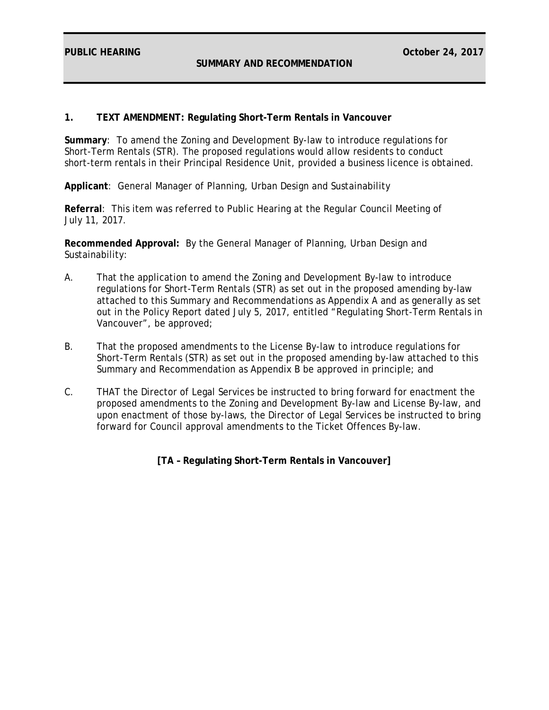**PUBLIC HEARING October 24, 2017** 

## **1. TEXT AMENDMENT: Regulating Short-Term Rentals in Vancouver**

**Summary**: To amend the Zoning and Development By-law to introduce regulations for Short-Term Rentals (STR). The proposed regulations would allow residents to conduct short-term rentals in their Principal Residence Unit, provided a business licence is obtained.

**Applicant**: General Manager of Planning, Urban Design and Sustainability

**Referral**: This item was referred to Public Hearing at the Regular Council Meeting of July 11, 2017.

**Recommended Approval:** By the General Manager of Planning, Urban Design and Sustainability:

- A. That the application to amend the Zoning and Development By-law to introduce regulations for Short-Term Rentals (STR) as set out in the proposed amending by-law attached to this Summary and Recommendations as Appendix A and as generally as set out in the Policy Report dated July 5, 2017, entitled "Regulating Short-Term Rentals in Vancouver", be approved;
- B. That the proposed amendments to the License By-law to introduce regulations for Short-Term Rentals (STR) as set out in the proposed amending by-law attached to this Summary and Recommendation as Appendix B be approved in principle; and
- C. THAT the Director of Legal Services be instructed to bring forward for enactment the proposed amendments to the Zoning and Development By-law and License By-law, and upon enactment of those by-laws, the Director of Legal Services be instructed to bring forward for Council approval amendments to the Ticket Offences By-law.

**[TA – Regulating Short-Term Rentals in Vancouver]**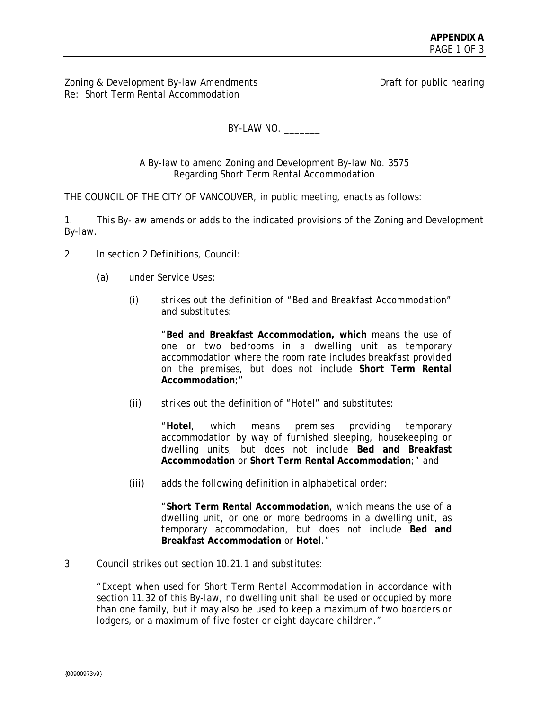Zoning & Development By-law Amendments **Draft for public hearing** Re: Short Term Rental Accommodation

BY-LAW NO.

A By-law to amend Zoning and Development By-law No. 3575 Regarding Short Term Rental Accommodation

THE COUNCIL OF THE CITY OF VANCOUVER, in public meeting, enacts as follows:

1. This By-law amends or adds to the indicated provisions of the Zoning and Development By-law.

- 2. In section 2 Definitions, Council:
	- (a) under Service Uses:
		- (i) strikes out the definition of "Bed and Breakfast Accommodation" and substitutes:

"**Bed and Breakfast Accommodation, which** means the use of one or two bedrooms in a dwelling unit as temporary accommodation where the room rate includes breakfast provided on the premises, but does not include **Short Term Rental Accommodation**;"

(ii) strikes out the definition of "Hotel" and substitutes:

"**Hotel**, which means premises providing temporary accommodation by way of furnished sleeping, housekeeping or dwelling units, but does not include **Bed and Breakfast Accommodation** or **Short Term Rental Accommodation**;" and

(iii) adds the following definition in alphabetical order:

"**Short Term Rental Accommodation**, which means the use of a dwelling unit, or one or more bedrooms in a dwelling unit, as temporary accommodation, but does not include **Bed and Breakfast Accommodation** or **Hotel**."

3. Council strikes out section 10.21.1 and substitutes:

"Except when used for Short Term Rental Accommodation in accordance with section 11.32 of this By-law, no dwelling unit shall be used or occupied by more than one family, but it may also be used to keep a maximum of two boarders or lodgers, or a maximum of five foster or eight daycare children."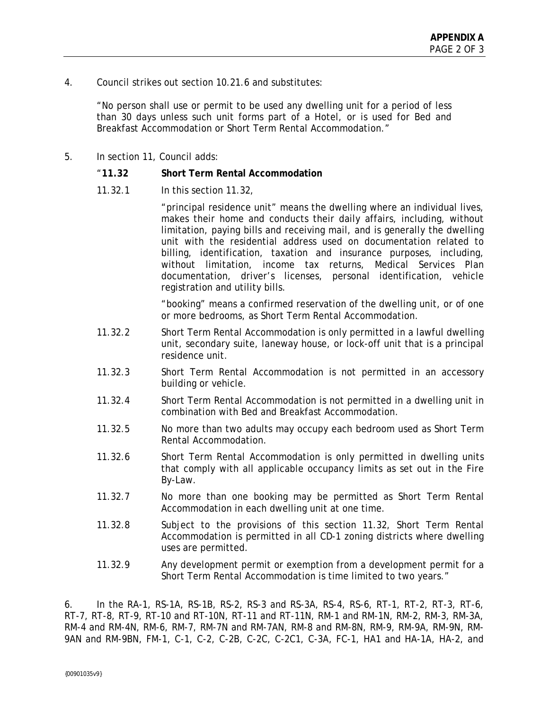4. Council strikes out section 10.21.6 and substitutes:

"No person shall use or permit to be used any dwelling unit for a period of less than 30 days unless such unit forms part of a Hotel, or is used for Bed and Breakfast Accommodation or Short Term Rental Accommodation."

5. In section 11, Council adds:

## "**11.32 Short Term Rental Accommodation**

11.32.1 In this section 11.32,

"principal residence unit" means the dwelling where an individual lives, makes their home and conducts their daily affairs, including, without limitation, paying bills and receiving mail, and is generally the dwelling unit with the residential address used on documentation related to billing, identification, taxation and insurance purposes, including, without limitation, income tax returns, Medical Services Plan documentation, driver's licenses, personal identification, vehicle registration and utility bills.

"booking" means a confirmed reservation of the dwelling unit, or of one or more bedrooms, as Short Term Rental Accommodation.

- 11.32.2 Short Term Rental Accommodation is only permitted in a lawful dwelling unit, secondary suite, laneway house, or lock-off unit that is a principal residence unit.
- 11.32.3 Short Term Rental Accommodation is not permitted in an accessory building or vehicle.
- 11.32.4 Short Term Rental Accommodation is not permitted in a dwelling unit in combination with Bed and Breakfast Accommodation.
- 11.32.5 No more than two adults may occupy each bedroom used as Short Term Rental Accommodation.
- 11.32.6 Short Term Rental Accommodation is only permitted in dwelling units that comply with all applicable occupancy limits as set out in the Fire By-Law.
- 11.32.7 No more than one booking may be permitted as Short Term Rental Accommodation in each dwelling unit at one time.
- 11.32.8 Subject to the provisions of this section 11.32, Short Term Rental Accommodation is permitted in all CD-1 zoning districts where dwelling uses are permitted.
- 11.32.9 Any development permit or exemption from a development permit for a Short Term Rental Accommodation is time limited to two years."

6. In the RA-1, RS-1A, RS-1B, RS-2, RS-3 and RS-3A, RS-4, RS-6, RT-1, RT-2, RT-3, RT-6, RT-7, RT-8, RT-9, RT-10 and RT-10N, RT-11 and RT-11N, RM-1 and RM-1N, RM-2, RM-3, RM-3A, RM-4 and RM-4N, RM-6, RM-7, RM-7N and RM-7AN, RM-8 and RM-8N, RM-9, RM-9A, RM-9N, RM-9AN and RM-9BN, FM-1, C-1, C-2, C-2B, C-2C, C-2C1, C-3A, FC-1, HA1 and HA-1A, HA-2, and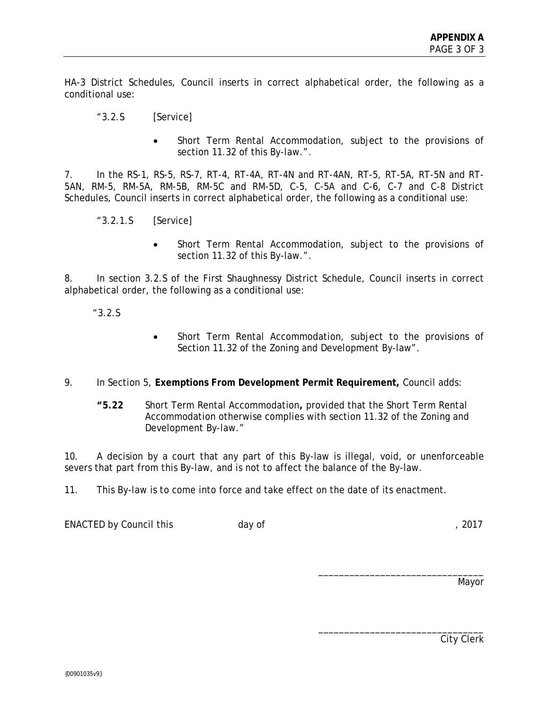HA-3 District Schedules, Council inserts in correct alphabetical order, the following as a conditional use:

- "3.2.S [Service]
	- Short Term Rental Accommodation, subject to the provisions of section 11.32 of this By-law.".

7. In the RS-1, RS-5, RS-7, RT-4, RT-4A, RT-4N and RT-4AN, RT-5, RT-5A, RT-5N and RT-5AN, RM-5, RM-5A, RM-5B, RM-5C and RM-5D, C-5, C-5A and C-6, C-7 and C-8 District Schedules, Council inserts in correct alphabetical order, the following as a conditional use:

- "3.2.1.S [Service]
	- Short Term Rental Accommodation, subject to the provisions of section 11.32 of this By-law.".

8. In section 3.2.S of the First Shaughnessy District Schedule, Council inserts in correct alphabetical order, the following as a conditional use:

"3.2.S

- Short Term Rental Accommodation, subject to the provisions of Section 11.32 of the Zoning and Development By-law".
- 9. In Section 5, **Exemptions From Development Permit Requirement,** Council adds:
	- **"5.22** Short Term Rental Accommodation**,** provided that the Short Term Rental Accommodation otherwise complies with section 11.32 of the Zoning and Development By-law."

10. A decision by a court that any part of this By-law is illegal, void, or unenforceable severs that part from this By-law, and is not to affect the balance of the By-law.

11. This By-law is to come into force and take effect on the date of its enactment.

ENACTED by Council this day of the control of the control of the control of the control of the control of the control of the control of the control of the control of the control of the control of the control of the control

Mayor

\_\_\_\_\_\_\_\_\_\_\_\_\_\_\_\_\_\_\_\_\_\_\_\_\_\_\_\_\_\_\_\_

\_\_\_\_\_\_\_\_\_\_\_\_\_\_\_\_\_\_\_\_\_\_\_\_\_\_\_\_\_\_\_\_

City Clerk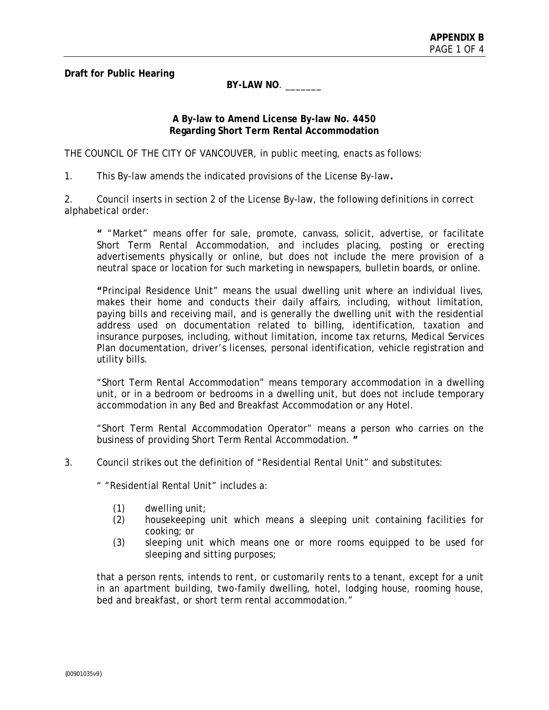**Draft for Public Hearing** 

**BY-LAW NO**. \_\_\_\_\_\_\_

# **A By-law to Amend License By-law No. 4450 Regarding Short Term Rental Accommodation**

THE COUNCIL OF THE CITY OF VANCOUVER, in public meeting, enacts as follows:

1. This By-law amends the indicated provisions of the License By-law**.** 

2. Council inserts in section 2 of the License By-law, the following definitions in correct alphabetical order:

**"** "Market" means offer for sale, promote, canvass, solicit, advertise, or facilitate Short Term Rental Accommodation, and includes placing, posting or erecting advertisements physically or online, but does not include the mere provision of a neutral space or location for such marketing in newspapers, bulletin boards, or online.

**"**Principal Residence Unit" means the usual dwelling unit where an individual lives, makes their home and conducts their daily affairs, including, without limitation, paying bills and receiving mail, and is generally the dwelling unit with the residential address used on documentation related to billing, identification, taxation and insurance purposes, including, without limitation, income tax returns, Medical Services Plan documentation, driver's licenses, personal identification, vehicle registration and utility bills.

"Short Term Rental Accommodation" means temporary accommodation in a dwelling unit, or in a bedroom or bedrooms in a dwelling unit, but does not include temporary accommodation in any Bed and Breakfast Accommodation or any Hotel.

"Short Term Rental Accommodation Operator" means a person who carries on the business of providing Short Term Rental Accommodation. **"** 

3. Council strikes out the definition of "Residential Rental Unit" and substitutes:

" "Residential Rental Unit" includes a:

- (1) dwelling unit;
- (2) housekeeping unit which means a sleeping unit containing facilities for cooking; or
- (3) sleeping unit which means one or more rooms equipped to be used for sleeping and sitting purposes;

that a person rents, intends to rent, or customarily rents to a tenant, except for a unit in an apartment building, two-family dwelling, hotel, lodging house, rooming house, bed and breakfast, or short term rental accommodation."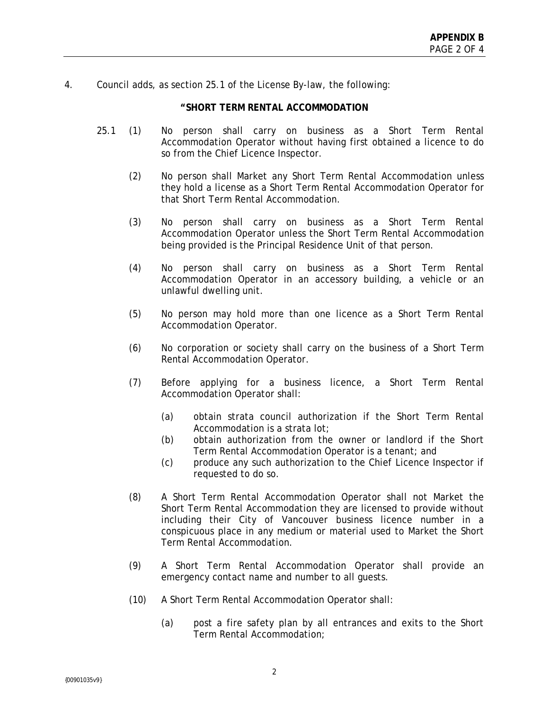4. Council adds, as section 25.1 of the License By-law, the following:

#### **"SHORT TERM RENTAL ACCOMMODATION**

- 25.1 (1) No person shall carry on business as a Short Term Rental Accommodation Operator without having first obtained a licence to do so from the Chief Licence Inspector.
	- (2) No person shall Market any Short Term Rental Accommodation unless they hold a license as a Short Term Rental Accommodation Operator for that Short Term Rental Accommodation.
	- (3) No person shall carry on business as a Short Term Rental Accommodation Operator unless the Short Term Rental Accommodation being provided is the Principal Residence Unit of that person.
	- (4) No person shall carry on business as a Short Term Rental Accommodation Operator in an accessory building, a vehicle or an unlawful dwelling unit.
	- (5) No person may hold more than one licence as a Short Term Rental Accommodation Operator.
	- (6) No corporation or society shall carry on the business of a Short Term Rental Accommodation Operator.
	- (7) Before applying for a business licence, a Short Term Rental Accommodation Operator shall:
		- (a) obtain strata council authorization if the Short Term Rental Accommodation is a strata lot;
		- (b) obtain authorization from the owner or landlord if the Short Term Rental Accommodation Operator is a tenant; and
		- (c) produce any such authorization to the Chief Licence Inspector if requested to do so.
	- (8) A Short Term Rental Accommodation Operator shall not Market the Short Term Rental Accommodation they are licensed to provide without including their City of Vancouver business licence number in a conspicuous place in any medium or material used to Market the Short Term Rental Accommodation.
	- (9) A Short Term Rental Accommodation Operator shall provide an emergency contact name and number to all guests.
	- (10) A Short Term Rental Accommodation Operator shall:
		- (a) post a fire safety plan by all entrances and exits to the Short Term Rental Accommodation;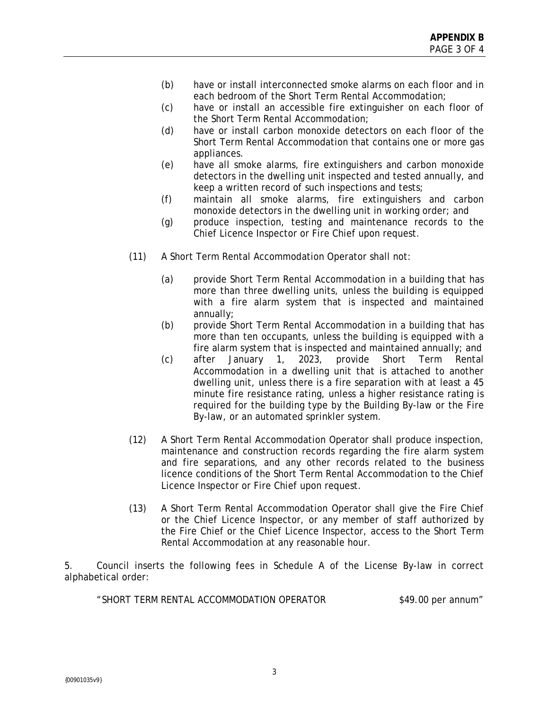- (b) have or install interconnected smoke alarms on each floor and in each bedroom of the Short Term Rental Accommodation;
- (c) have or install an accessible fire extinguisher on each floor of the Short Term Rental Accommodation;
- (d) have or install carbon monoxide detectors on each floor of the Short Term Rental Accommodation that contains one or more gas appliances.
- (e) have all smoke alarms, fire extinguishers and carbon monoxide detectors in the dwelling unit inspected and tested annually, and keep a written record of such inspections and tests;
- (f) maintain all smoke alarms, fire extinguishers and carbon monoxide detectors in the dwelling unit in working order; and
- (g) produce inspection, testing and maintenance records to the Chief Licence Inspector or Fire Chief upon request.
- (11) A Short Term Rental Accommodation Operator shall not:
	- (a) provide Short Term Rental Accommodation in a building that has more than three dwelling units, unless the building is equipped with a fire alarm system that is inspected and maintained annually;
	- (b) provide Short Term Rental Accommodation in a building that has more than ten occupants, unless the building is equipped with a fire alarm system that is inspected and maintained annually; and
	- (c) after January 1, 2023, provide Short Term Rental Accommodation in a dwelling unit that is attached to another dwelling unit, unless there is a fire separation with at least a 45 minute fire resistance rating, unless a higher resistance rating is required for the building type by the Building By-law or the Fire By-law, or an automated sprinkler system.
- (12) A Short Term Rental Accommodation Operator shall produce inspection, maintenance and construction records regarding the fire alarm system and fire separations, and any other records related to the business licence conditions of the Short Term Rental Accommodation to the Chief Licence Inspector or Fire Chief upon request.
- (13) A Short Term Rental Accommodation Operator shall give the Fire Chief or the Chief Licence Inspector, or any member of staff authorized by the Fire Chief or the Chief Licence Inspector, access to the Short Term Rental Accommodation at any reasonable hour.

5. Council inserts the following fees in Schedule A of the License By-law in correct alphabetical order:

"SHORT TERM RENTAL ACCOMMODATION OPERATOR \$49.00 per annum"